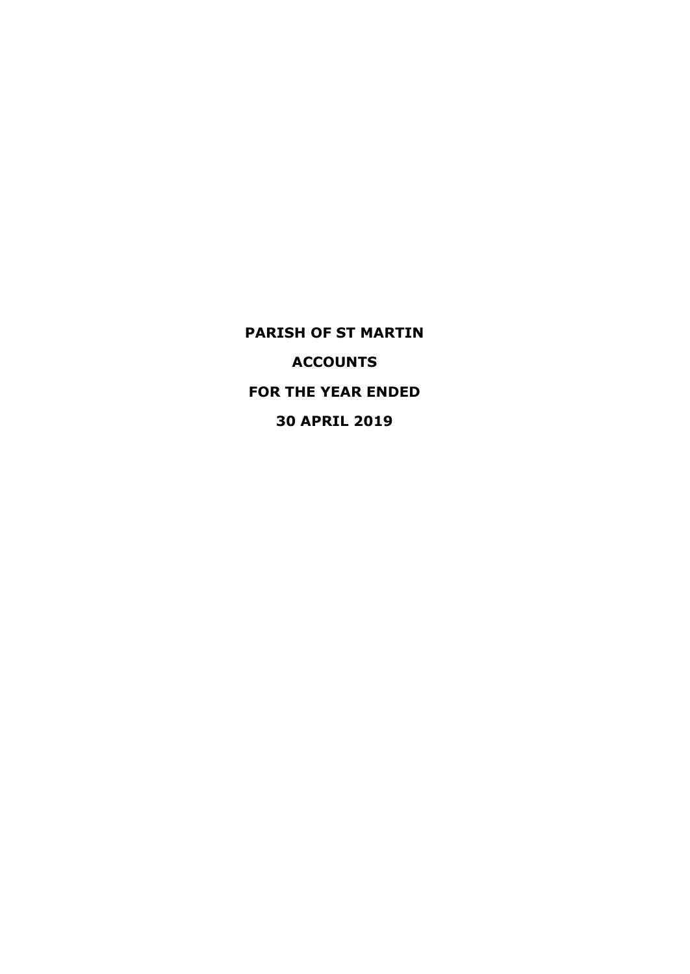**PARISH OF ST MARTIN ACCOUNTS FOR THE YEAR ENDED 30 APRIL 2019**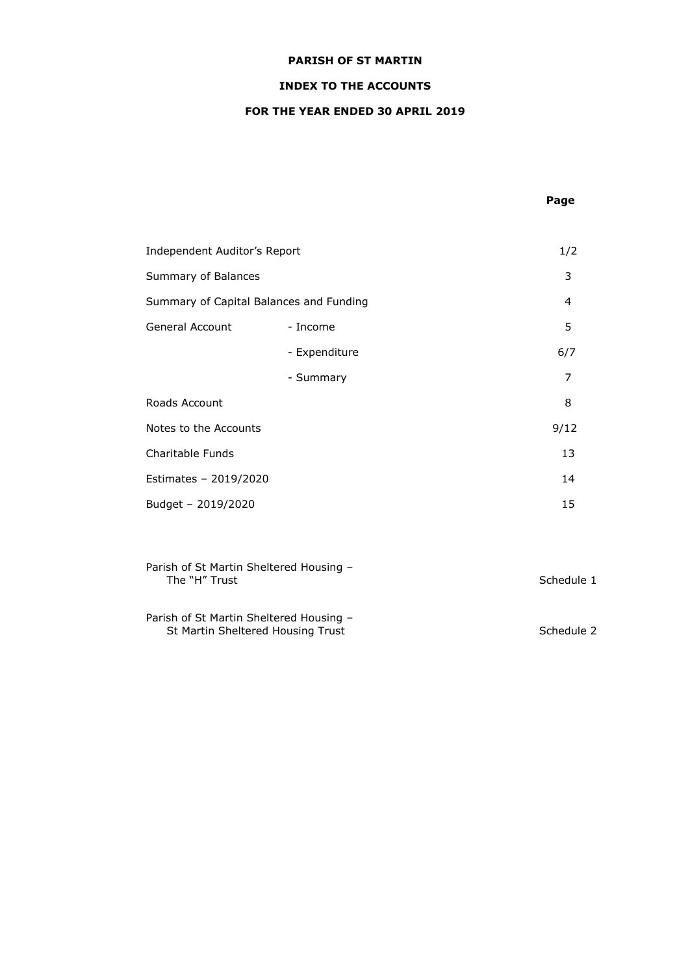# **INDEX TO THE ACCOUNTS**

# **FOR THE YEAR ENDED 30 APRIL 2019**

# **Page**

| Independent Auditor's Report            |               | 1/2            |
|-----------------------------------------|---------------|----------------|
| Summary of Balances                     |               | 3              |
| Summary of Capital Balances and Funding |               | $\overline{4}$ |
| General Account                         | - Income      | 5              |
|                                         | - Expenditure | 6/7            |
|                                         | - Summary     | 7              |
| Roads Account                           |               | 8              |
| Notes to the Accounts                   |               | 9/12           |
| Charitable Funds                        |               | 13             |
| Estimates - 2019/2020                   |               | 14             |
| Budget - 2019/2020                      |               | 15             |
|                                         |               |                |

| Parish of St Martin Sheltered Housing -<br>The "H" Trust                     | Schedule 1 |
|------------------------------------------------------------------------------|------------|
| Parish of St Martin Sheltered Housing -<br>St Martin Sheltered Housing Trust | Schedule 2 |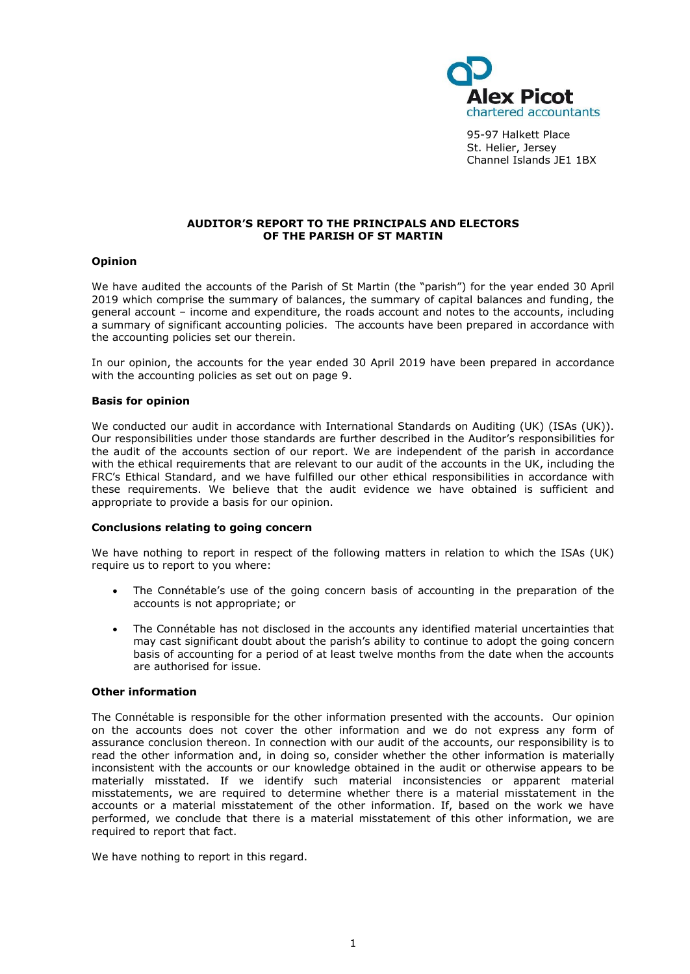

95-97 Halkett Place St. Helier, Jersey Channel Islands JE1 1BX

# **AUDITOR'S REPORT TO THE PRINCIPALS AND ELECTORS OF THE PARISH OF ST MARTIN**

# **Opinion**

We have audited the accounts of the Parish of St Martin (the "parish") for the year ended 30 April 2019 which comprise the summary of balances, the summary of capital balances and funding, the general account – income and expenditure, the roads account and notes to the accounts, including a summary of significant accounting policies. The accounts have been prepared in accordance with the accounting policies set our therein.

In our opinion, the accounts for the year ended 30 April 2019 have been prepared in accordance with the accounting policies as set out on page 9.

#### **Basis for opinion**

We conducted our audit in accordance with International Standards on Auditing (UK) (ISAs (UK)). Our responsibilities under those standards are further described in the Auditor's responsibilities for the audit of the accounts section of our report. We are independent of the parish in accordance with the ethical requirements that are relevant to our audit of the accounts in the UK, including the FRC's [Ethical Standard,](https://library.cch.co.uk/apbes2016r1) and we have fulfilled our other ethical responsibilities in accordance with these requirements. We believe that the audit evidence we have obtained is sufficient and appropriate to provide a basis for our opinion.

#### **Conclusions relating to going concern**

We have nothing to report in respect of the following matters in relation to which the ISAs (UK) require us to report to you where:

- The Connétable's use of the going concern basis of accounting in the preparation of the accounts is not appropriate; or
- The Connétable has not disclosed in the accounts any identified material uncertainties that may cast significant doubt about the parish's ability to continue to adopt the going concern basis of accounting for a period of at least twelve months from the date when the accounts are authorised for issue.

#### **Other information**

The Connétable is responsible for the other information presented with the accounts. Our opinion on the accounts does not cover the other information and we do not express any form of assurance conclusion thereon. In connection with our audit of the accounts, our responsibility is to read the other information and, in doing so, consider whether the other information is materially inconsistent with the accounts or our knowledge obtained in the audit or otherwise appears to be materially misstated. If we identify such material inconsistencies or apparent material misstatements, we are required to determine whether there is a material misstatement in the accounts or a material misstatement of the other information. If, based on the work we have performed, we conclude that there is a material misstatement of this other information, we are required to report that fact.

We have nothing to report in this regard.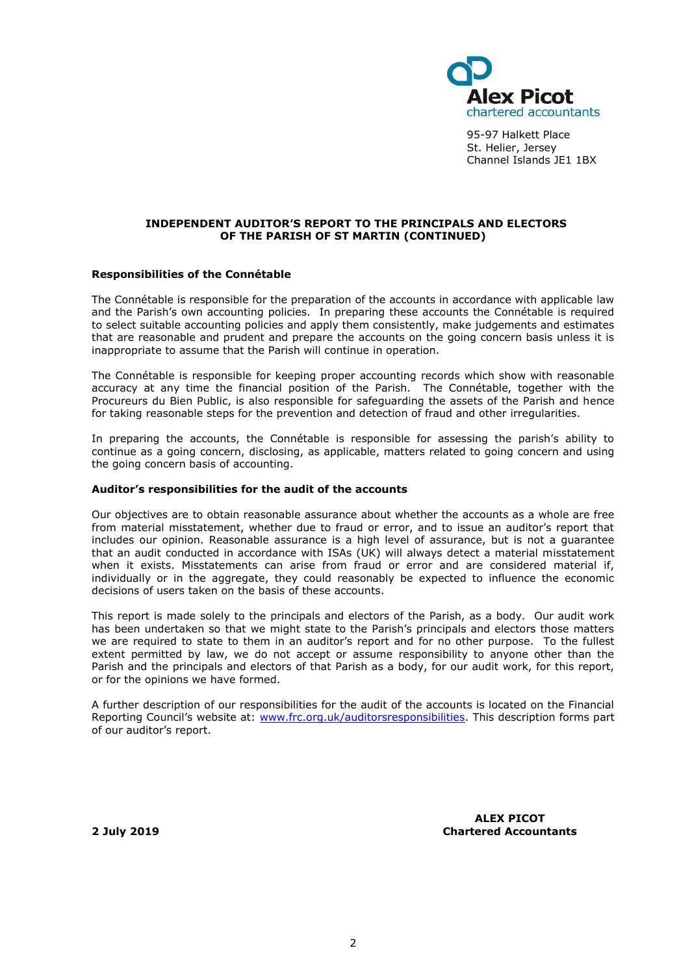

95-97 Halkett Place St. Helier, Jersey Channel Islands JE1 1BX

# **INDEPENDENT AUDITOR'S REPORT TO THE PRINCIPALS AND ELECTORS OF THE PARISH OF ST MARTIN (CONTINUED)**

#### **Responsibilities of the Connétable**

The Connétable is responsible for the preparation of the accounts in accordance with applicable law and the Parish's own accounting policies. In preparing these accounts the Connétable is required to select suitable accounting policies and apply them consistently, make judgements and estimates that are reasonable and prudent and prepare the accounts on the going concern basis unless it is inappropriate to assume that the Parish will continue in operation.

The Connétable is responsible for keeping proper accounting records which show with reasonable accuracy at any time the financial position of the Parish. The Connétable, together with the Procureurs du Bien Public, is also responsible for safeguarding the assets of the Parish and hence for taking reasonable steps for the prevention and detection of fraud and other irregularities.

In preparing the accounts, the Connétable is responsible for assessing the parish's ability to continue as a going concern, disclosing, as applicable, matters related to going concern and using the going concern basis of accounting.

#### **Auditor's responsibilities for the audit of the accounts**

Our objectives are to obtain reasonable assurance about whether the accounts as a whole are free from material misstatement, whether due to fraud or error, and to issue an auditor's report that includes our opinion. Reasonable assurance is a high level of assurance, but is not a guarantee that an audit conducted in accordance with ISAs (UK) will always detect a material misstatement when it exists. Misstatements can arise from fraud or error and are considered material if, individually or in the aggregate, they could reasonably be expected to influence the economic decisions of users taken on the basis of these accounts.

This report is made solely to the principals and electors of the Parish, as a body. Our audit work has been undertaken so that we might state to the Parish's principals and electors those matters we are required to state to them in an auditor's report and for no other purpose. To the fullest extent permitted by law, we do not accept or assume responsibility to anyone other than the Parish and the principals and electors of that Parish as a body, for our audit work, for this report, or for the opinions we have formed.

A further description of our responsibilities for the audit of the accounts is located on the Financial Reporting Council's website at: [www.frc.org.uk/auditorsresponsibilities.](http://www.frc.org.uk/auditorsresponsibilities) This description forms part of our auditor's report.

**2 July 2019**

**ALEX PICOT Chartered Accountants**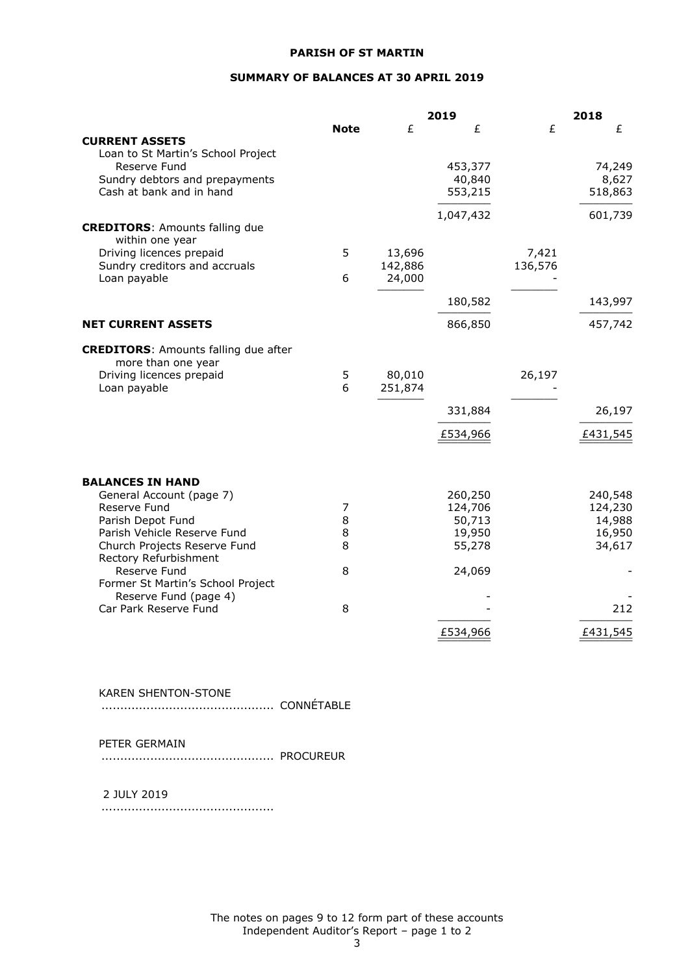# **SUMMARY OF BALANCES AT 30 APRIL 2019**

|                                                                   |             |         | 2019      |         | 2018     |
|-------------------------------------------------------------------|-------------|---------|-----------|---------|----------|
|                                                                   | <b>Note</b> | £       | £         | £       | £        |
| <b>CURRENT ASSETS</b>                                             |             |         |           |         |          |
| Loan to St Martin's School Project                                |             |         |           |         |          |
| Reserve Fund                                                      |             |         | 453,377   |         | 74,249   |
| Sundry debtors and prepayments                                    |             |         | 40,840    |         | 8,627    |
| Cash at bank and in hand                                          |             |         | 553,215   |         | 518,863  |
|                                                                   |             |         | 1,047,432 |         | 601,739  |
| <b>CREDITORS: Amounts falling due</b>                             |             |         |           |         |          |
| within one year                                                   |             |         |           |         |          |
| Driving licences prepaid                                          | 5           | 13,696  |           | 7,421   |          |
| Sundry creditors and accruals                                     |             | 142,886 |           | 136,576 |          |
| Loan payable                                                      | 6           | 24,000  |           |         |          |
|                                                                   |             |         | 180,582   |         | 143,997  |
|                                                                   |             |         |           |         |          |
| <b>NET CURRENT ASSETS</b>                                         |             |         | 866,850   |         | 457,742  |
| <b>CREDITORS: Amounts falling due after</b><br>more than one year |             |         |           |         |          |
| Driving licences prepaid                                          | 5           | 80,010  |           | 26,197  |          |
| Loan payable                                                      | 6           | 251,874 |           |         |          |
|                                                                   |             |         | 331,884   |         | 26,197   |
|                                                                   |             |         | £534,966  |         | £431,545 |
|                                                                   |             |         |           |         |          |
| <b>BALANCES IN HAND</b>                                           |             |         |           |         |          |
| General Account (page 7)                                          |             |         | 260,250   |         | 240,548  |
| Reserve Fund                                                      | 7           |         | 124,706   |         | 124,230  |
| Parish Depot Fund                                                 | 8           |         | 50,713    |         | 14,988   |
| Parish Vehicle Reserve Fund                                       | 8           |         | 19,950    |         | 16,950   |
| Church Projects Reserve Fund                                      | 8           |         | 55,278    |         | 34,617   |
| Rectory Refurbishment<br>Reserve Fund                             | 8           |         | 24,069    |         |          |
| Former St Martin's School Project                                 |             |         |           |         |          |
| Reserve Fund (page 4)                                             |             |         |           |         |          |
| Car Park Reserve Fund                                             | 8           |         |           |         | 212      |
|                                                                   |             |         | £534,966  |         | £431,545 |
|                                                                   |             |         |           |         |          |

KAREN SHENTON-STONE

.............................................. CONNÉTABLE

PETER GERMAIN

.............................................. PROCUREUR

## 2 JULY 2019

..............................................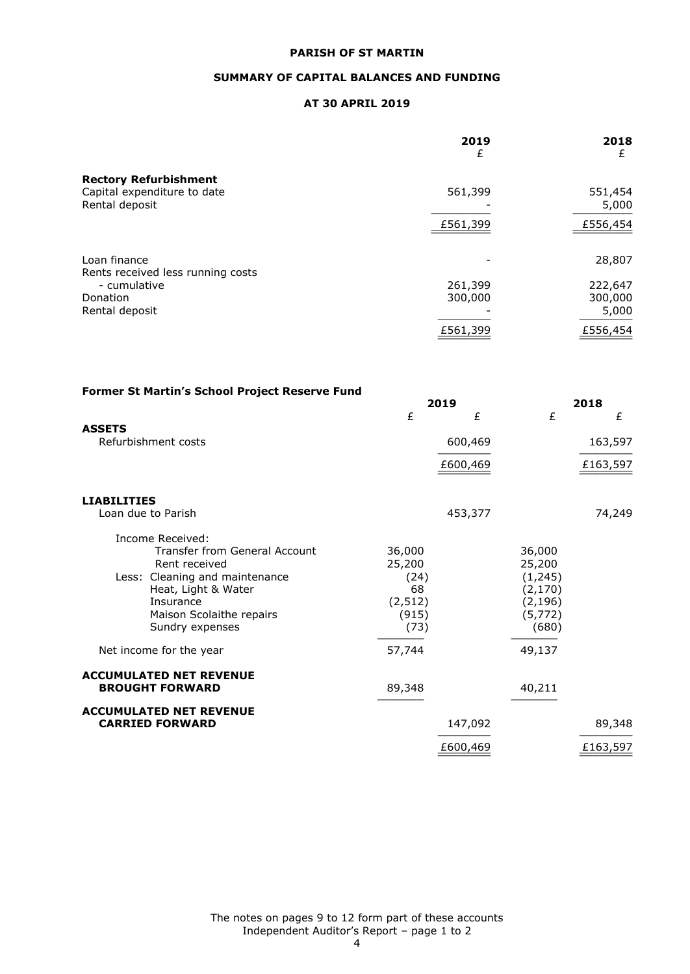# **SUMMARY OF CAPITAL BALANCES AND FUNDING**

# **AT 30 APRIL 2019**

|                                                   | 2019<br>£ | 2018<br>£ |
|---------------------------------------------------|-----------|-----------|
| <b>Rectory Refurbishment</b>                      |           |           |
| Capital expenditure to date                       | 561,399   | 551,454   |
| Rental deposit                                    |           | 5,000     |
|                                                   | £561,399  | £556,454  |
| Loan finance<br>Rents received less running costs |           | 28,807    |
| - cumulative                                      | 261,399   | 222,647   |
| Donation                                          | 300,000   | 300,000   |
| Rental deposit                                    |           | 5,000     |
|                                                   | £561,399  | £556,454  |

| Former St Martin's School Project Reserve Fund |          |          |          |          |
|------------------------------------------------|----------|----------|----------|----------|
|                                                |          | 2019     |          | 2018     |
|                                                | £        | £        | £        | £        |
| <b>ASSETS</b><br>Refurbishment costs           |          | 600,469  |          | 163,597  |
|                                                |          | £600,469 |          | £163,597 |
| <b>LIABILITIES</b>                             |          |          |          |          |
| Loan due to Parish                             |          | 453,377  |          | 74,249   |
| Income Received:                               |          |          |          |          |
| <b>Transfer from General Account</b>           | 36,000   |          | 36,000   |          |
| Rent received                                  | 25,200   |          | 25,200   |          |
| Less: Cleaning and maintenance                 | (24)     |          | (1, 245) |          |
| Heat, Light & Water                            | 68       |          | (2, 170) |          |
| Insurance                                      | (2, 512) |          | (2, 196) |          |
| Maison Scolaithe repairs                       | (915)    |          | (5, 772) |          |
| Sundry expenses                                | (73)     |          | (680)    |          |
| Net income for the year                        | 57,744   |          | 49,137   |          |
| <b>ACCUMULATED NET REVENUE</b>                 |          |          |          |          |
| <b>BROUGHT FORWARD</b>                         | 89,348   |          | 40,211   |          |
| <b>ACCUMULATED NET REVENUE</b>                 |          |          |          |          |
| <b>CARRIED FORWARD</b>                         |          | 147,092  |          | 89,348   |
|                                                |          | £600,469 |          | £163,597 |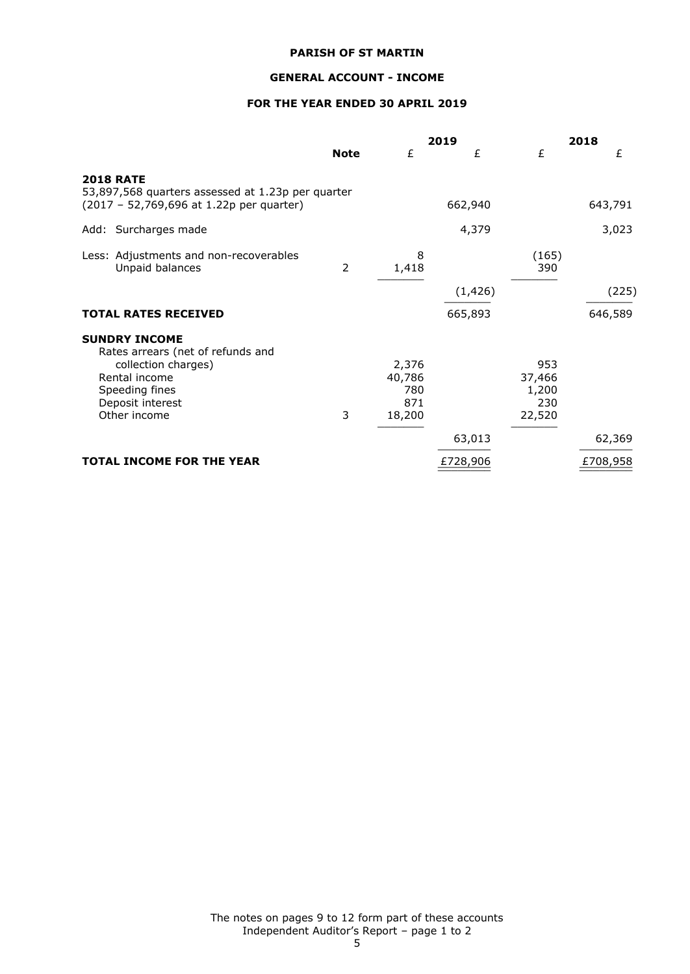# **GENERAL ACCOUNT - INCOME**

# **FOR THE YEAR ENDED 30 APRIL 2019**

|                                                                                                                                                         |                |                                         | 2019     |                                         | 2018     |
|---------------------------------------------------------------------------------------------------------------------------------------------------------|----------------|-----------------------------------------|----------|-----------------------------------------|----------|
|                                                                                                                                                         | <b>Note</b>    | £                                       | £        | £                                       | £        |
| <b>2018 RATE</b><br>53,897,568 quarters assessed at 1.23p per quarter<br>(2017 - 52,769,696 at 1.22p per quarter)                                       |                |                                         | 662,940  |                                         | 643,791  |
| Add: Surcharges made                                                                                                                                    |                |                                         | 4,379    |                                         | 3,023    |
| Less: Adjustments and non-recoverables<br>Unpaid balances                                                                                               | $\overline{2}$ | 8<br>1,418                              |          | (165)<br>390                            |          |
|                                                                                                                                                         |                |                                         | (1, 426) |                                         | (225)    |
| <b>TOTAL RATES RECEIVED</b>                                                                                                                             |                |                                         | 665,893  |                                         | 646,589  |
| <b>SUNDRY INCOME</b><br>Rates arrears (net of refunds and<br>collection charges)<br>Rental income<br>Speeding fines<br>Deposit interest<br>Other income | 3              | 2,376<br>40,786<br>780<br>871<br>18,200 |          | 953<br>37,466<br>1,200<br>230<br>22,520 |          |
|                                                                                                                                                         |                |                                         | 63,013   |                                         | 62,369   |
| <b>TOTAL INCOME FOR THE YEAR</b>                                                                                                                        |                |                                         | £728,906 |                                         | £708,958 |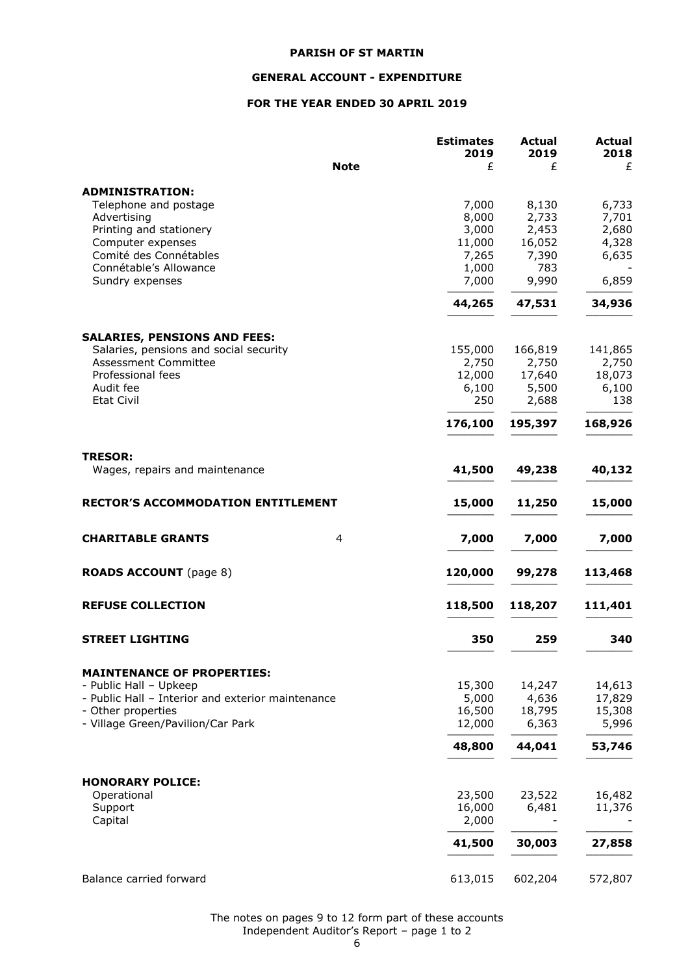# **GENERAL ACCOUNT - EXPENDITURE**

# **FOR THE YEAR ENDED 30 APRIL 2019**

|                                                   | <b>Estimates</b><br>2019 | <b>Actual</b><br>2019 | Actual<br>2018 |
|---------------------------------------------------|--------------------------|-----------------------|----------------|
| <b>Note</b>                                       | £                        | £                     | £              |
| <b>ADMINISTRATION:</b>                            |                          |                       |                |
| Telephone and postage                             | 7,000                    | 8,130                 | 6,733          |
| Advertising                                       | 8,000                    | 2,733                 | 7,701          |
| Printing and stationery                           | 3,000                    | 2,453                 | 2,680          |
| Computer expenses                                 | 11,000                   | 16,052                | 4,328          |
| Comité des Connétables                            | 7,265                    | 7,390                 | 6,635          |
| Connétable's Allowance                            | 1,000                    | 783                   |                |
| Sundry expenses                                   | 7,000                    | 9,990                 | 6,859          |
|                                                   | 44,265                   | 47,531                | 34,936         |
| <b>SALARIES, PENSIONS AND FEES:</b>               |                          |                       |                |
| Salaries, pensions and social security            | 155,000                  | 166,819               | 141,865        |
| <b>Assessment Committee</b>                       | 2,750                    | 2,750                 | 2,750          |
| Professional fees                                 | 12,000                   | 17,640                | 18,073         |
| Audit fee                                         | 6,100                    | 5,500                 | 6,100          |
| <b>Etat Civil</b>                                 | 250                      | 2,688                 | 138            |
|                                                   | 176,100                  | 195,397               | 168,926        |
| <b>TRESOR:</b>                                    |                          |                       |                |
| Wages, repairs and maintenance                    | 41,500                   | 49,238                | 40,132         |
| <b>RECTOR'S ACCOMMODATION ENTITLEMENT</b>         | 15,000                   | 11,250                | 15,000         |
|                                                   |                          |                       |                |
| <b>CHARITABLE GRANTS</b><br>4                     | 7,000                    | 7,000                 | 7,000          |
| <b>ROADS ACCOUNT</b> (page 8)                     | 120,000                  | 99,278                | 113,468        |
| <b>REFUSE COLLECTION</b>                          | 118,500                  | 118,207               | 111,401        |
| <b>STREET LIGHTING</b>                            | 350                      | 259                   | 340            |
| <b>MAINTENANCE OF PROPERTIES:</b>                 |                          |                       |                |
| - Public Hall - Upkeep                            | 15,300                   | 14,247                | 14,613         |
| - Public Hall - Interior and exterior maintenance | 5,000                    | 4,636                 | 17,829         |
| - Other properties                                | 16,500                   | 18,795                | 15,308         |
| - Village Green/Pavilion/Car Park                 | 12,000                   | 6,363                 | 5,996          |
|                                                   | 48,800                   | 44,041                | 53,746         |
|                                                   |                          |                       |                |
| <b>HONORARY POLICE:</b><br>Operational            | 23,500                   | 23,522                | 16,482         |
| Support                                           | 16,000                   | 6,481                 | 11,376         |
| Capital                                           | 2,000                    |                       |                |
|                                                   |                          |                       |                |
|                                                   | 41,500                   | 30,003                | 27,858         |
| Balance carried forward                           | 613,015                  | 602,204               | 572,807        |

The notes on pages 9 to 12 form part of these accounts Independent Auditor's Report – page 1 to 2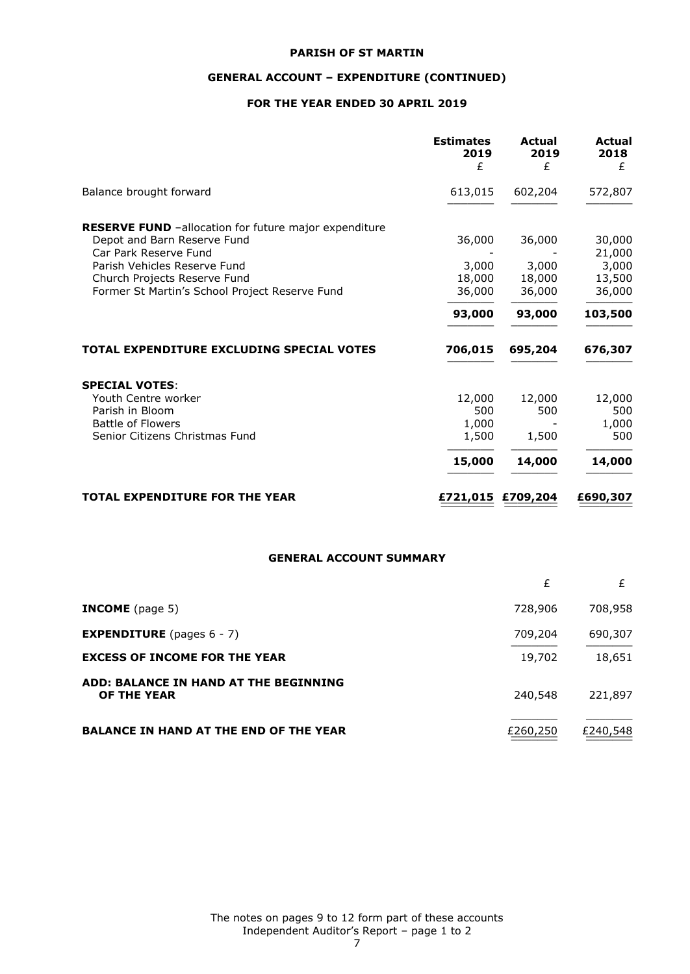# **GENERAL ACCOUNT – EXPENDITURE (CONTINUED)**

# **FOR THE YEAR ENDED 30 APRIL 2019**

|                                                       | <b>Estimates</b><br>2019<br>£ | Actual<br>2019<br>£ | Actual<br>2018<br>£ |
|-------------------------------------------------------|-------------------------------|---------------------|---------------------|
| Balance brought forward                               | 613,015                       | 602,204             | 572,807             |
| RESERVE FUND -allocation for future major expenditure |                               |                     |                     |
| Depot and Barn Reserve Fund<br>Car Park Reserve Fund  | 36,000                        | 36,000              | 30,000<br>21,000    |
| Parish Vehicles Reserve Fund                          | 3,000                         | 3,000               | 3,000               |
| Church Projects Reserve Fund                          | 18,000                        | 18,000              | 13,500              |
| Former St Martin's School Project Reserve Fund        | 36,000                        | 36,000              | 36,000              |
|                                                       | 93,000                        | 93,000              | 103,500             |
| TOTAL EXPENDITURE EXCLUDING SPECIAL VOTES             | 706,015                       | 695,204             | 676,307             |
| <b>SPECIAL VOTES:</b>                                 |                               |                     |                     |
| Youth Centre worker                                   | 12,000                        | 12,000              | 12,000              |
| Parish in Bloom                                       | 500                           | 500                 | 500                 |
| <b>Battle of Flowers</b>                              | 1,000                         |                     | 1,000               |
| Senior Citizens Christmas Fund                        | 1,500                         | 1,500               | 500                 |
|                                                       | 15,000                        | 14,000              | 14,000              |
| <b>TOTAL EXPENDITURE FOR THE YEAR</b>                 | £721,015 £709,204             |                     | £690,307            |

# **GENERAL ACCOUNT SUMMARY**

|                                                      | £        |          |
|------------------------------------------------------|----------|----------|
| <b>INCOME</b> (page 5)                               | 728,906  | 708,958  |
| <b>EXPENDITURE</b> (pages $6 - 7$ )                  | 709,204  | 690,307  |
| <b>EXCESS OF INCOME FOR THE YEAR</b>                 | 19,702   | 18,651   |
| ADD: BALANCE IN HAND AT THE BEGINNING<br>OF THE YEAR | 240,548  | 221,897  |
| <b>BALANCE IN HAND AT THE END OF THE YEAR</b>        | £260,250 | £240,548 |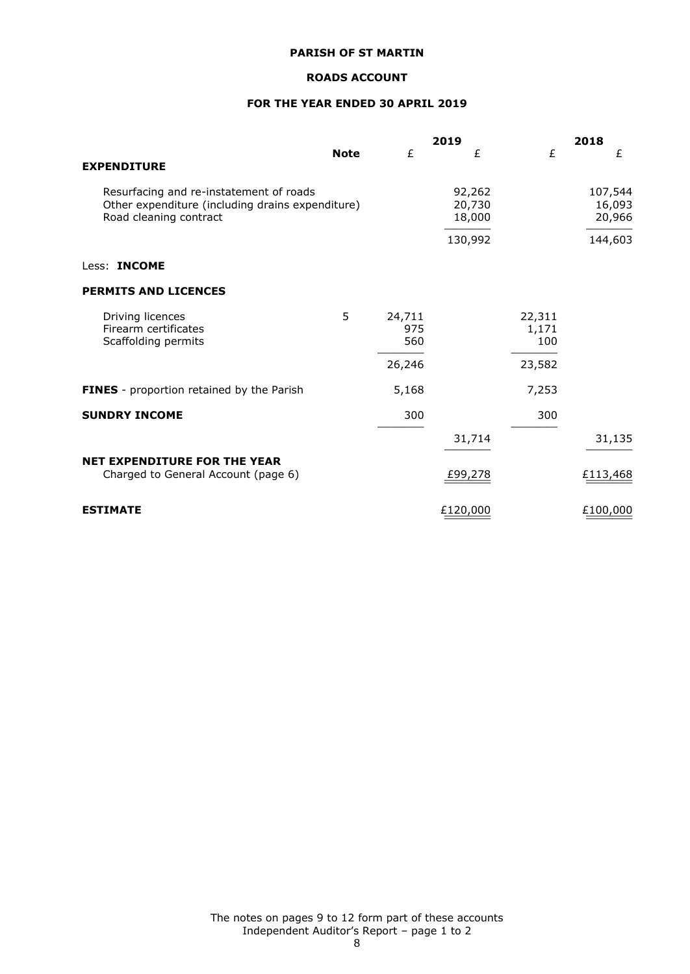# **ROADS ACCOUNT**

# **FOR THE YEAR ENDED 30 APRIL 2019**

|                                                                                                                       |             |                      | 2019                       |                        | 2018                        |
|-----------------------------------------------------------------------------------------------------------------------|-------------|----------------------|----------------------------|------------------------|-----------------------------|
| <b>EXPENDITURE</b>                                                                                                    | <b>Note</b> | £                    | £                          | £                      | £                           |
| Resurfacing and re-instatement of roads<br>Other expenditure (including drains expenditure)<br>Road cleaning contract |             |                      | 92,262<br>20,730<br>18,000 |                        | 107,544<br>16,093<br>20,966 |
|                                                                                                                       |             |                      | 130,992                    |                        | 144,603                     |
| Less: <b>INCOME</b>                                                                                                   |             |                      |                            |                        |                             |
| <b>PERMITS AND LICENCES</b>                                                                                           |             |                      |                            |                        |                             |
| Driving licences<br>Firearm certificates<br>Scaffolding permits                                                       | 5           | 24,711<br>975<br>560 |                            | 22,311<br>1,171<br>100 |                             |
|                                                                                                                       |             | 26,246               |                            | 23,582                 |                             |
| FINES - proportion retained by the Parish                                                                             |             | 5,168                |                            | 7,253                  |                             |
| <b>SUNDRY INCOME</b>                                                                                                  |             | 300                  |                            | 300                    |                             |
|                                                                                                                       |             |                      | 31,714                     |                        | 31,135                      |
| <b>NET EXPENDITURE FOR THE YEAR</b><br>Charged to General Account (page 6)                                            |             |                      | £99,278                    |                        | £113,468                    |
| <b>ESTIMATE</b>                                                                                                       |             |                      | £120,000                   |                        | £100,000                    |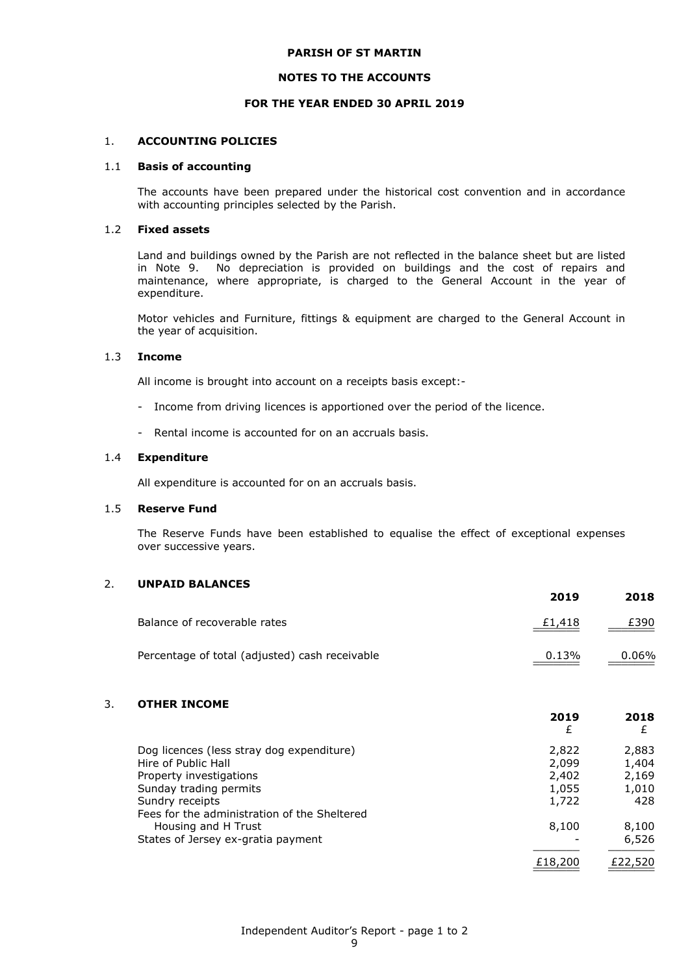#### **NOTES TO THE ACCOUNTS**

#### **FOR THE YEAR ENDED 30 APRIL 2019**

#### 1. **ACCOUNTING POLICIES**

#### 1.1 **Basis of accounting**

The accounts have been prepared under the historical cost convention and in accordance with accounting principles selected by the Parish.

### 1.2 **Fixed assets**

Land and buildings owned by the Parish are not reflected in the balance sheet but are listed in Note 9. No depreciation is provided on buildings and the cost of repairs and maintenance, where appropriate, is charged to the General Account in the year of expenditure.

Motor vehicles and Furniture, fittings & equipment are charged to the General Account in the year of acquisition.

#### 1.3 **Income**

All income is brought into account on a receipts basis except:-

- Income from driving licences is apportioned over the period of the licence.
- Rental income is accounted for on an accruals basis.

#### 1.4 **Expenditure**

All expenditure is accounted for on an accruals basis.

#### 1.5 **Reserve Fund**

The Reserve Funds have been established to equalise the effect of exceptional expenses over successive years.

# 2. **UNPAID BALANCES**

|                                                | ----   | ----  |
|------------------------------------------------|--------|-------|
| Balance of recoverable rates                   | £1,418 | £390  |
| Percentage of total (adjusted) cash receivable | 0.13%  | 0.06% |

**2019 2018**

**2019 2018**

# 3. **OTHER INCOME**

|                                              | £       | £       |
|----------------------------------------------|---------|---------|
| Dog licences (less stray dog expenditure)    | 2,822   | 2,883   |
| Hire of Public Hall                          | 2,099   | 1,404   |
| Property investigations                      | 2,402   | 2,169   |
| Sunday trading permits                       | 1,055   | 1,010   |
| Sundry receipts                              | 1,722   | 428     |
| Fees for the administration of the Sheltered |         |         |
| Housing and H Trust                          | 8,100   | 8,100   |
| States of Jersey ex-gratia payment           |         | 6,526   |
|                                              | £18,200 | £22,520 |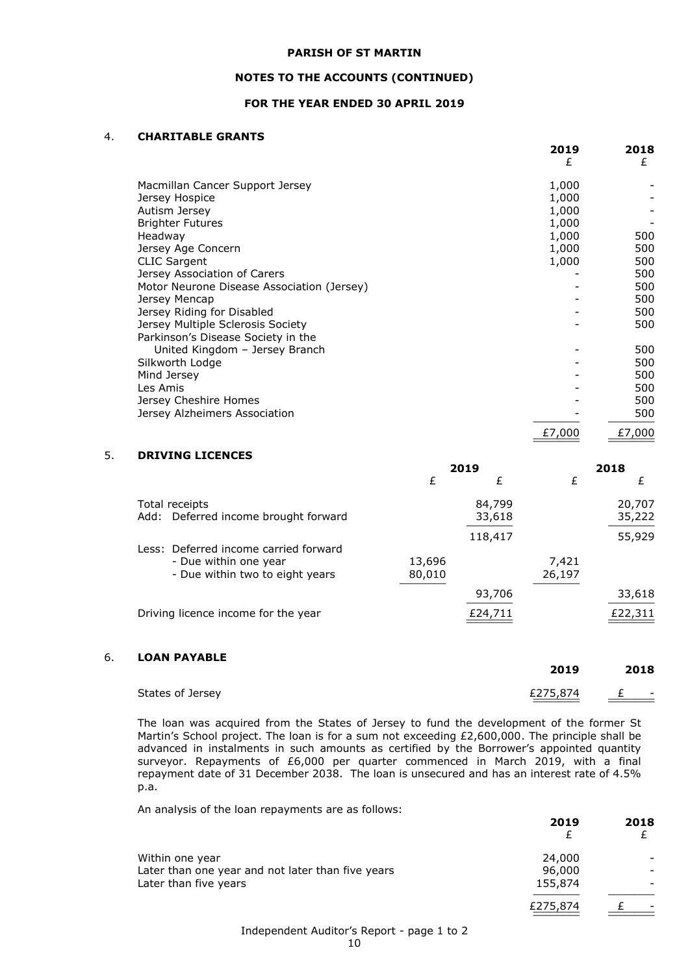### **NOTES TO THE ACCOUNTS (CONTINUED)**

## **FOR THE YEAR ENDED 30 APRIL 2019**

# 4. **CHARITABLE GRANTS**

|                                            | 2019<br>£ | 2018<br>£ |
|--------------------------------------------|-----------|-----------|
| Macmillan Cancer Support Jersey            | 1,000     |           |
| Jersey Hospice                             | 1,000     |           |
| Autism Jersey                              | 1,000     |           |
| <b>Brighter Futures</b>                    | 1,000     |           |
| Headway                                    | 1,000     | 500       |
| Jersey Age Concern                         | 1,000     | 500       |
| <b>CLIC Sargent</b>                        | 1,000     | 500       |
| Jersey Association of Carers               |           | 500       |
| Motor Neurone Disease Association (Jersey) |           | 500       |
| Jersey Mencap                              |           | 500       |
| Jersey Riding for Disabled                 |           | 500       |
| Jersey Multiple Sclerosis Society          |           | 500       |
| Parkinson's Disease Society in the         |           |           |
| United Kingdom - Jersey Branch             |           | 500       |
| Silkworth Lodge                            |           | 500       |
| Mind Jersey                                |           | 500       |
| Les Amis                                   |           | 500       |
| Jersey Cheshire Homes                      |           | 500       |
| Jersey Alzheimers Association              |           | 500       |
|                                            | £7,000    | £7,000    |

# 5. **DRIVING LICENCES**

|                                       | 2019   |         | 2018   |         |
|---------------------------------------|--------|---------|--------|---------|
|                                       | £      | £       | £      |         |
| Total receipts                        |        | 84,799  |        | 20,707  |
| Add: Deferred income brought forward  |        | 33,618  |        | 35,222  |
|                                       |        | 118,417 |        | 55,929  |
| Less: Deferred income carried forward |        |         |        |         |
| - Due within one year                 | 13,696 |         | 7,421  |         |
| - Due within two to eight years       | 80,010 |         | 26,197 |         |
|                                       |        | 93,706  |        | 33,618  |
| Driving licence income for the year   |        | £24,711 |        | £22,311 |

# 6. **LOAN PAYABLE**

|                  | 2019     | 2018                                          |
|------------------|----------|-----------------------------------------------|
| States of Jersey | £275,874 | $\mathbf{f}$<br>$\overline{\phantom{0}}$<br>- |

The loan was acquired from the States of Jersey to fund the development of the former St Martin's School project. The loan is for a sum not exceeding £2,600,000. The principle shall be advanced in instalments in such amounts as certified by the Borrower's appointed quantity surveyor. Repayments of £6,000 per quarter commenced in March 2019, with a final repayment date of 31 December 2038. The loan is unsecured and has an interest rate of 4.5% p.a.

An analysis of the loan repayments are as follows:

|                                                   | 2019     | 2018 |
|---------------------------------------------------|----------|------|
| Within one year                                   | 24,000   |      |
| Later than one year and not later than five years | 96,000   |      |
| Later than five years                             | 155,874  |      |
|                                                   | £275,874 |      |

# Independent Auditor's Report - page 1 to 2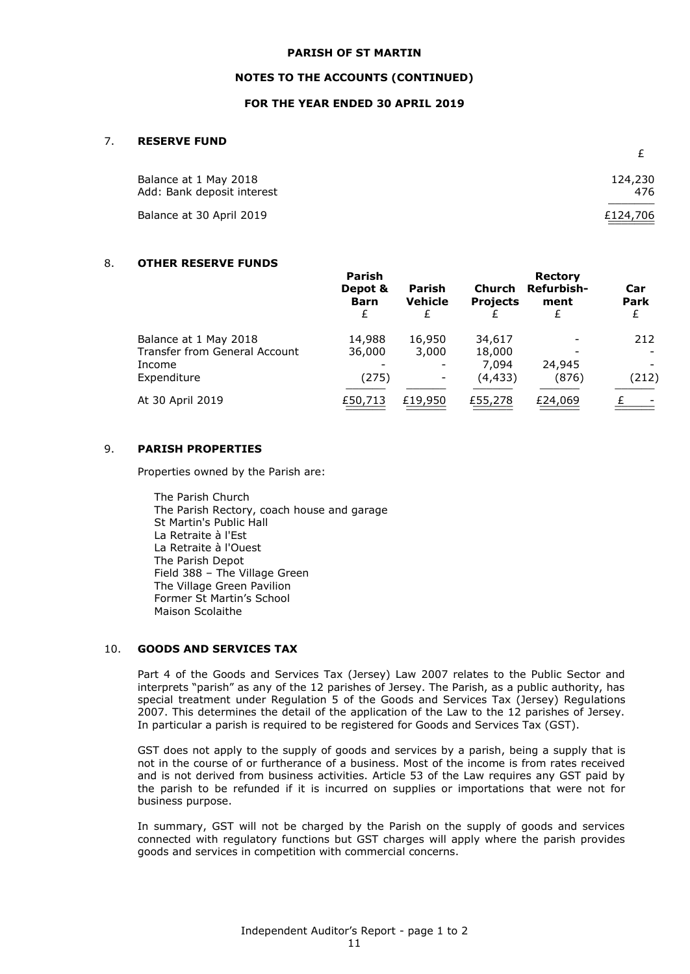#### **NOTES TO THE ACCOUNTS (CONTINUED)**

### **FOR THE YEAR ENDED 30 APRIL 2019**

#### 7. **RESERVE FUND**

| Balance at 1 May 2018      | 124,230  |
|----------------------------|----------|
| Add: Bank deposit interest | 476      |
| Balance at 30 April 2019   | £124,706 |
|                            |          |

£

#### 8. **OTHER RESERVE FUNDS**

|                               | Parish<br>Depot &<br><b>Barn</b><br>£ | <b>Parish</b><br><b>Vehicle</b> | <b>Church</b><br><b>Projects</b> | <b>Rectory</b><br>Refurbish-<br>ment | Car<br>Park |
|-------------------------------|---------------------------------------|---------------------------------|----------------------------------|--------------------------------------|-------------|
| Balance at 1 May 2018         | 14,988                                | 16,950                          | 34,617                           |                                      | 212         |
| Transfer from General Account | 36,000                                | 3,000                           | 18,000                           |                                      |             |
| Income                        |                                       |                                 | 7.094                            | 24,945                               |             |
| Expenditure                   | (275)                                 |                                 | (4, 433)                         | (876)                                | (212)       |
| At 30 April 2019              | £50,713                               | £19,950                         | £55,278                          | £24,069                              |             |

# 9. **PARISH PROPERTIES**

Properties owned by the Parish are:

The Parish Church The Parish Rectory, coach house and garage St Martin's Public Hall La Retraite à l'Est La Retraite à l'Ouest The Parish Depot Field 388 – The Village Green The Village Green Pavilion Former St Martin's School Maison Scolaithe

### 10. **GOODS AND SERVICES TAX**

Part 4 of the Goods and Services Tax (Jersey) Law 2007 relates to the Public Sector and interprets "parish" as any of the 12 parishes of Jersey. The Parish, as a public authority, has special treatment under Regulation 5 of the Goods and Services Tax (Jersey) Regulations 2007. This determines the detail of the application of the Law to the 12 parishes of Jersey. In particular a parish is required to be registered for Goods and Services Tax (GST).

GST does not apply to the supply of goods and services by a parish, being a supply that is not in the course of or furtherance of a business. Most of the income is from rates received and is not derived from business activities. Article 53 of the Law requires any GST paid by the parish to be refunded if it is incurred on supplies or importations that were not for business purpose.

In summary, GST will not be charged by the Parish on the supply of goods and services connected with regulatory functions but GST charges will apply where the parish provides goods and services in competition with commercial concerns.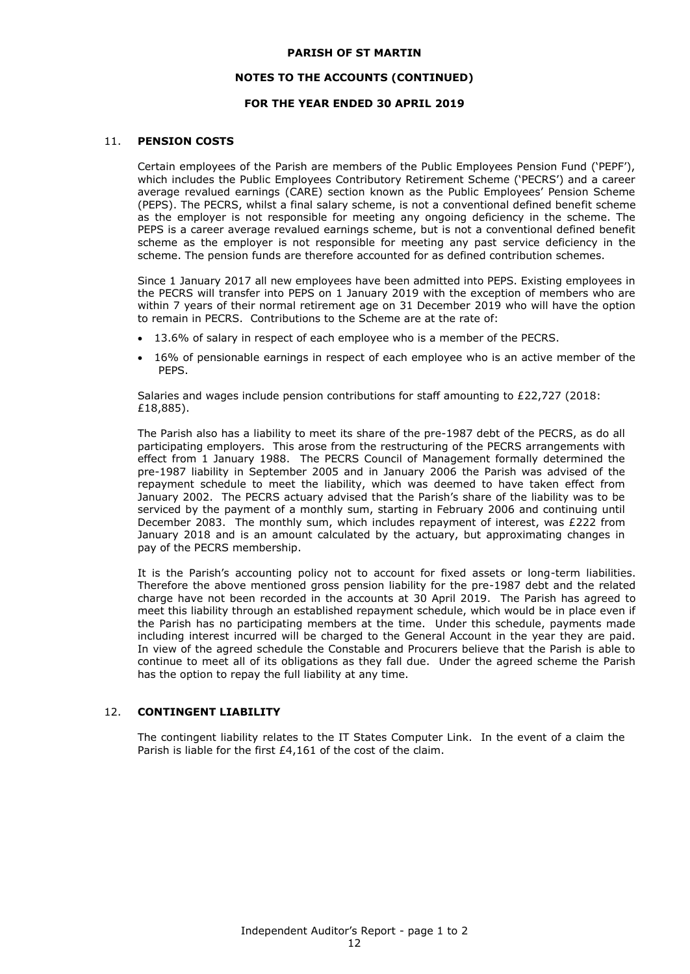### **NOTES TO THE ACCOUNTS (CONTINUED)**

### **FOR THE YEAR ENDED 30 APRIL 2019**

#### 11. **PENSION COSTS**

Certain employees of the Parish are members of the Public Employees Pension Fund ('PEPF'), which includes the Public Employees Contributory Retirement Scheme ('PECRS') and a career average revalued earnings (CARE) section known as the Public Employees' Pension Scheme (PEPS). The PECRS, whilst a final salary scheme, is not a conventional defined benefit scheme as the employer is not responsible for meeting any ongoing deficiency in the scheme. The PEPS is a career average revalued earnings scheme, but is not a conventional defined benefit scheme as the employer is not responsible for meeting any past service deficiency in the scheme. The pension funds are therefore accounted for as defined contribution schemes.

Since 1 January 2017 all new employees have been admitted into PEPS. Existing employees in the PECRS will transfer into PEPS on 1 January 2019 with the exception of members who are within 7 years of their normal retirement age on 31 December 2019 who will have the option to remain in PECRS. Contributions to the Scheme are at the rate of:

- 13.6% of salary in respect of each employee who is a member of the PECRS.
- 16% of pensionable earnings in respect of each employee who is an active member of the PEPS.

Salaries and wages include pension contributions for staff amounting to £22,727 (2018: £18,885).

The Parish also has a liability to meet its share of the pre-1987 debt of the PECRS, as do all participating employers. This arose from the restructuring of the PECRS arrangements with effect from 1 January 1988. The PECRS Council of Management formally determined the pre-1987 liability in September 2005 and in January 2006 the Parish was advised of the repayment schedule to meet the liability, which was deemed to have taken effect from January 2002. The PECRS actuary advised that the Parish's share of the liability was to be serviced by the payment of a monthly sum, starting in February 2006 and continuing until December 2083. The monthly sum, which includes repayment of interest, was £222 from January 2018 and is an amount calculated by the actuary, but approximating changes in pay of the PECRS membership.

It is the Parish's accounting policy not to account for fixed assets or long-term liabilities. Therefore the above mentioned gross pension liability for the pre-1987 debt and the related charge have not been recorded in the accounts at 30 April 2019. The Parish has agreed to meet this liability through an established repayment schedule, which would be in place even if the Parish has no participating members at the time. Under this schedule, payments made including interest incurred will be charged to the General Account in the year they are paid. In view of the agreed schedule the Constable and Procurers believe that the Parish is able to continue to meet all of its obligations as they fall due. Under the agreed scheme the Parish has the option to repay the full liability at any time.

### 12. **CONTINGENT LIABILITY**

The contingent liability relates to the IT States Computer Link. In the event of a claim the Parish is liable for the first £4,161 of the cost of the claim.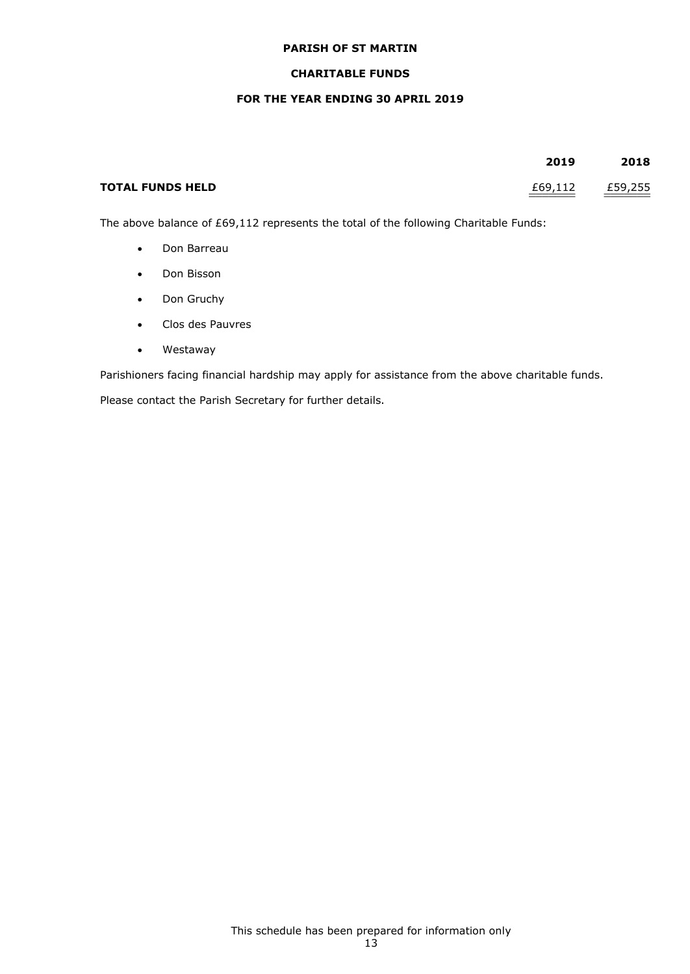# **CHARITABLE FUNDS**

# **FOR THE YEAR ENDING 30 APRIL 2019**

|                         | 2019    | 2018    |
|-------------------------|---------|---------|
| <b>TOTAL FUNDS HELD</b> | £69,112 | £59,255 |

The above balance of £69,112 represents the total of the following Charitable Funds:

- Don Barreau
- Don Bisson
- Don Gruchy
- Clos des Pauvres
- Westaway

Parishioners facing financial hardship may apply for assistance from the above charitable funds.

Please contact the Parish Secretary for further details.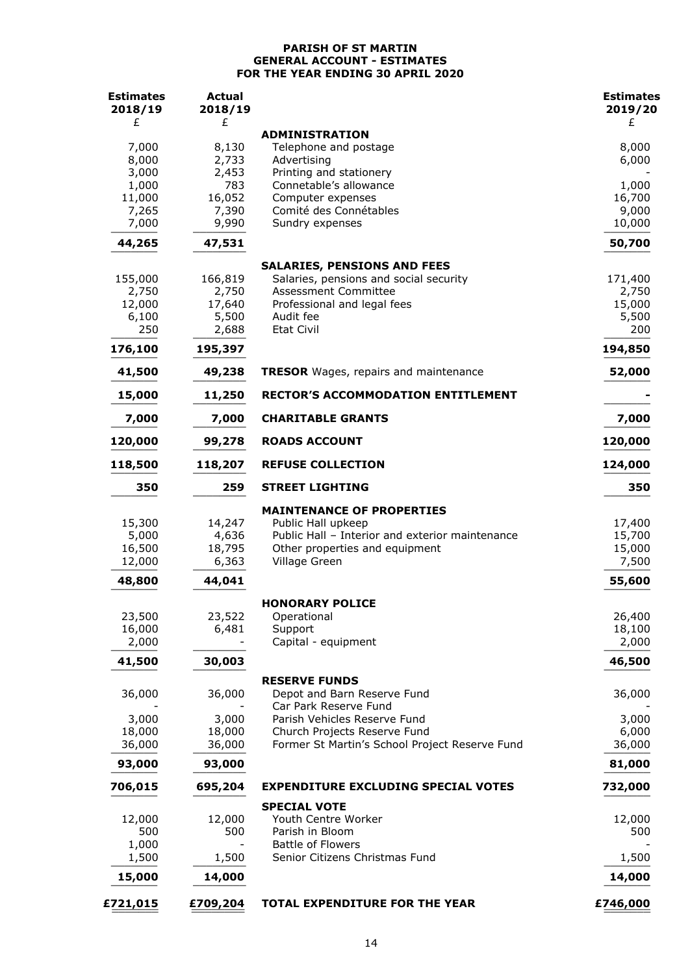# **PARISH OF ST MARTIN GENERAL ACCOUNT - ESTIMATES FOR THE YEAR ENDING 30 APRIL 2020**

| <b>Estimates</b><br>2018/19 | <b>Actual</b><br>2018/19 |                                                      | <b>Estimates</b><br>2019/20 |
|-----------------------------|--------------------------|------------------------------------------------------|-----------------------------|
| £                           | £                        | <b>ADMINISTRATION</b>                                | £                           |
| 7,000                       | 8,130                    | Telephone and postage                                | 8,000                       |
| 8,000                       | 2,733                    | Advertising                                          | 6,000                       |
| 3,000<br>1,000              | 2,453<br>783             | Printing and stationery<br>Connetable's allowance    | 1,000                       |
| 11,000                      | 16,052                   | Computer expenses                                    | 16,700                      |
| 7,265                       | 7,390                    | Comité des Connétables                               | 9,000                       |
| 7,000                       | 9,990                    | Sundry expenses                                      | 10,000                      |
| 44,265                      | 47,531                   |                                                      | 50,700                      |
|                             |                          | <b>SALARIES, PENSIONS AND FEES</b>                   |                             |
| 155,000                     | 166,819                  | Salaries, pensions and social security               | 171,400                     |
| 2,750                       | 2,750                    | <b>Assessment Committee</b>                          | 2,750                       |
| 12,000<br>6,100             | 17,640<br>5,500          | Professional and legal fees<br>Audit fee             | 15,000<br>5,500             |
| 250                         | 2,688                    | <b>Etat Civil</b>                                    | 200                         |
| 176,100                     | 195,397                  |                                                      | 194,850                     |
| 41,500                      | 49,238                   | <b>TRESOR</b> Wages, repairs and maintenance         | 52,000                      |
| 15,000                      | 11,250                   | <b>RECTOR'S ACCOMMODATION ENTITLEMENT</b>            |                             |
| 7,000                       | 7,000                    | <b>CHARITABLE GRANTS</b>                             | 7,000                       |
| 120,000                     | 99,278                   | <b>ROADS ACCOUNT</b>                                 | 120,000                     |
| 118,500                     | 118,207                  | <b>REFUSE COLLECTION</b>                             | 124,000                     |
| 350                         | 259                      | <b>STREET LIGHTING</b>                               | 350                         |
|                             |                          | <b>MAINTENANCE OF PROPERTIES</b>                     |                             |
| 15,300                      | 14,247                   | Public Hall upkeep                                   | 17,400                      |
| 5,000                       | 4,636                    | Public Hall - Interior and exterior maintenance      | 15,700                      |
| 16,500                      | 18,795                   | Other properties and equipment                       | 15,000                      |
| 12,000                      | 6,363                    | Village Green                                        | 7,500                       |
| 48,800                      | 44,041                   |                                                      | 55,600                      |
|                             |                          | <b>HONORARY POLICE</b>                               |                             |
| 23,500                      | 23,522                   | Operational                                          | 26,400                      |
| 16,000<br>2,000             | 6,481                    | Support<br>Capital - equipment                       | 18,100<br>2,000             |
| 41,500                      | 30,003                   |                                                      | 46,500                      |
|                             |                          | <b>RESERVE FUNDS</b>                                 |                             |
| 36,000                      | 36,000                   | Depot and Barn Reserve Fund<br>Car Park Reserve Fund | 36,000                      |
| 3,000                       | 3,000                    | Parish Vehicles Reserve Fund                         | 3,000                       |
| 18,000                      | 18,000                   | Church Projects Reserve Fund                         | 6,000                       |
| 36,000                      | 36,000                   | Former St Martin's School Project Reserve Fund       | 36,000                      |
| 93,000                      | 93,000                   |                                                      | 81,000                      |
| 706,015                     | 695,204                  | <b>EXPENDITURE EXCLUDING SPECIAL VOTES</b>           | 732,000                     |
|                             |                          | <b>SPECIAL VOTE</b>                                  |                             |
| 12,000                      | 12,000                   | Youth Centre Worker                                  | 12,000                      |
| 500<br>1,000                | 500                      | Parish in Bloom<br><b>Battle of Flowers</b>          | 500                         |
| 1,500                       | 1,500                    | Senior Citizens Christmas Fund                       | 1,500                       |
| 15,000                      | 14,000                   |                                                      | 14,000                      |
| £721,015                    | £709,204                 | TOTAL EXPENDITURE FOR THE YEAR                       | £746,000                    |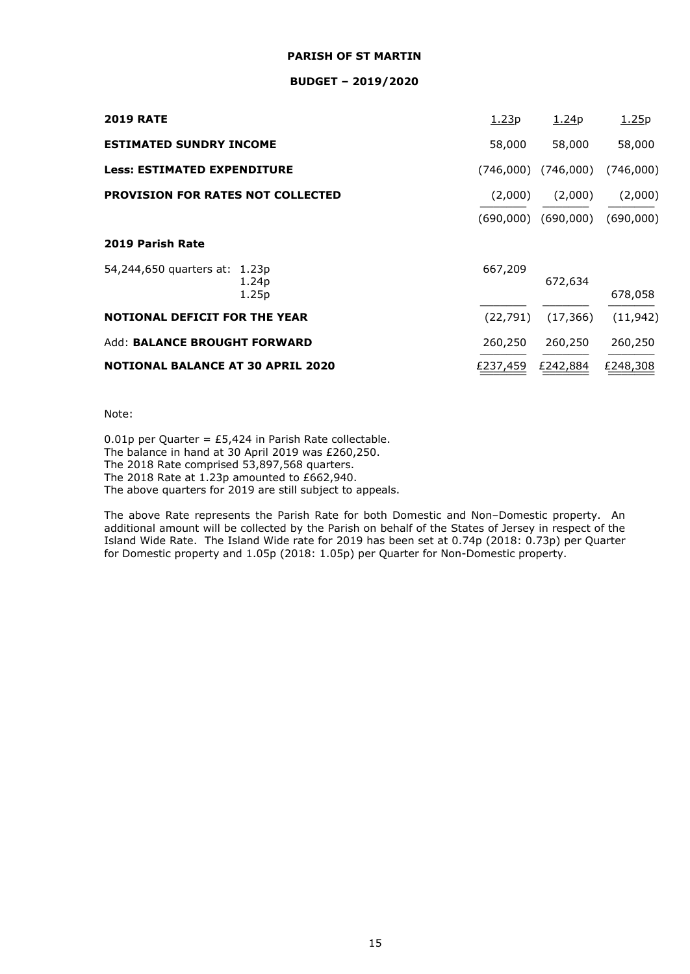### **BUDGET – 2019/2020**

| <b>2019 RATE</b>                         |                            | 1.23p     | 1.24p                               | 1.25p     |
|------------------------------------------|----------------------------|-----------|-------------------------------------|-----------|
| <b>ESTIMATED SUNDRY INCOME</b>           |                            | 58,000    | 58,000                              | 58,000    |
| <b>Less: ESTIMATED EXPENDITURE</b>       |                            | (746,000) | (746,000)                           | (746,000) |
| <b>PROVISION FOR RATES NOT COLLECTED</b> |                            | (2,000)   | (2,000)                             | (2,000)   |
|                                          |                            |           | $(690,000)$ $(690,000)$ $(690,000)$ |           |
| 2019 Parish Rate                         |                            |           |                                     |           |
| 54,244,650 quarters at: 1.23p            | 1.24 <sub>p</sub><br>1.25p | 667,209   | 672,634                             | 678,058   |
| <b>NOTIONAL DEFICIT FOR THE YEAR</b>     |                            | (22, 791) | (17, 366)                           | (11, 942) |
| Add: BALANCE BROUGHT FORWARD             |                            | 260,250   | 260,250                             | 260,250   |
| <b>NOTIONAL BALANCE AT 30 APRIL 2020</b> |                            | £237,459  | £242,884                            | £248,308  |

Note:

0.01p per Quarter = £5,424 in Parish Rate collectable. The balance in hand at 30 April 2019 was £260,250. The 2018 Rate comprised 53,897,568 quarters. The 2018 Rate at 1.23p amounted to £662,940. The above quarters for 2019 are still subject to appeals.

The above Rate represents the Parish Rate for both Domestic and Non–Domestic property. An additional amount will be collected by the Parish on behalf of the States of Jersey in respect of the Island Wide Rate. The Island Wide rate for 2019 has been set at 0.74p (2018: 0.73p) per Quarter for Domestic property and 1.05p (2018: 1.05p) per Quarter for Non-Domestic property.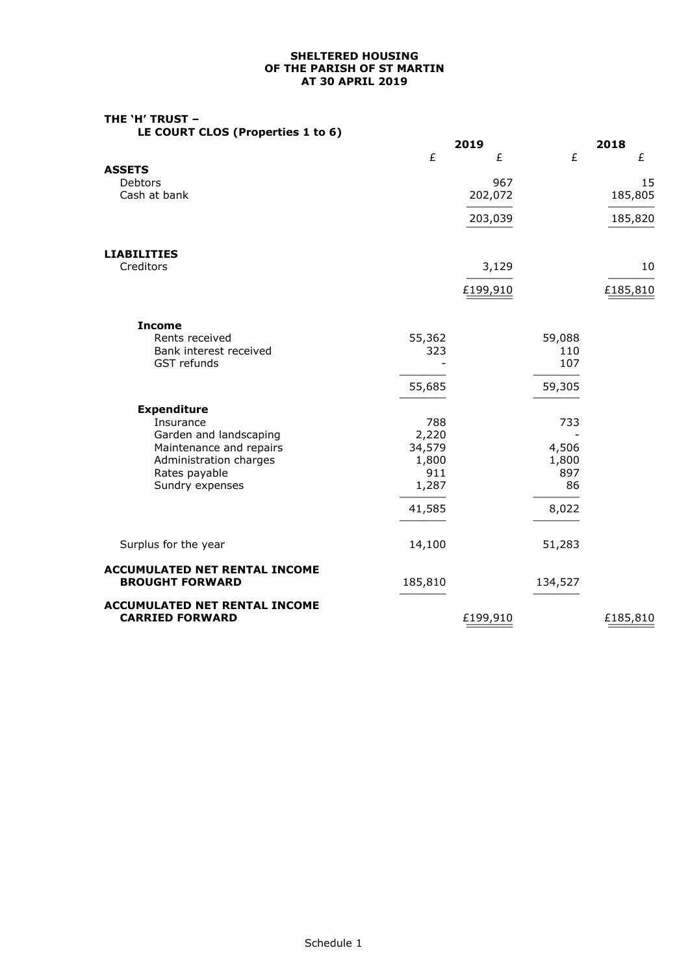## **SHELTERED HOUSING OF THE PARISH OF ST MARTIN AT 30 APRIL 2019**

# **THE 'H' TRUST –**

**LE COURT CLOS (Properties 1 to 6)**

|                                                                | 2019     |         | 2018     |
|----------------------------------------------------------------|----------|---------|----------|
|                                                                | £        | £<br>£  | £        |
| <b>ASSETS</b>                                                  |          |         |          |
| Debtors                                                        |          | 967     | 15       |
| Cash at bank                                                   | 202,072  |         | 185,805  |
|                                                                | 203,039  |         | 185,820  |
| <b>LIABILITIES</b>                                             |          |         |          |
| Creditors                                                      |          | 3,129   | 10       |
|                                                                |          |         |          |
|                                                                | £199,910 |         | £185,810 |
| <b>Income</b>                                                  |          |         |          |
| Rents received                                                 | 55,362   | 59,088  |          |
| Bank interest received                                         | 323      | 110     |          |
| GST refunds                                                    |          | 107     |          |
|                                                                | 55,685   | 59,305  |          |
| <b>Expenditure</b>                                             |          |         |          |
| Insurance                                                      | 788      | 733     |          |
| Garden and landscaping                                         | 2,220    |         |          |
| Maintenance and repairs                                        | 34,579   | 4,506   |          |
| Administration charges                                         | 1,800    | 1,800   |          |
| Rates payable                                                  | 911      | 897     |          |
| Sundry expenses                                                | 1,287    | 86      |          |
|                                                                | 41,585   | 8,022   |          |
|                                                                |          |         |          |
| Surplus for the year                                           | 14,100   | 51,283  |          |
| <b>ACCUMULATED NET RENTAL INCOME</b><br><b>BROUGHT FORWARD</b> | 185,810  | 134,527 |          |
|                                                                |          |         |          |
| <b>ACCUMULATED NET RENTAL INCOME</b><br><b>CARRIED FORWARD</b> | £199,910 |         | £185,810 |